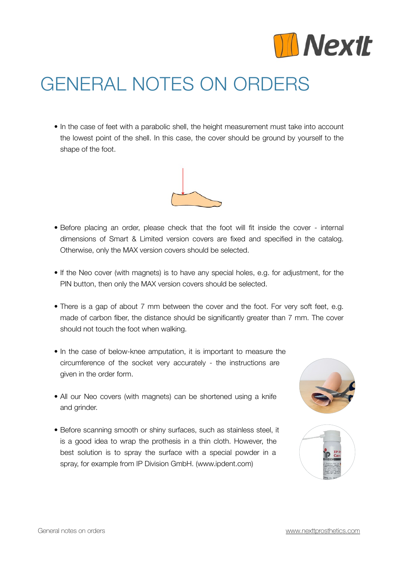

## GENERAL NOTES ON ORDERS

• In the case of feet with a parabolic shell, the height measurement must take into account the lowest point of the shell. In this case, the cover should be ground by yourself to the shape of the foot.



- Before placing an order, please check that the foot will fit inside the cover internal dimensions of Smart & Limited version covers are fixed and specified in the catalog. Otherwise, only the MAX version covers should be selected.
- If the Neo cover (with magnets) is to have any special holes, e.g. for adjustment, for the PIN button, then only the MAX version covers should be selected.
- There is a gap of about 7 mm between the cover and the foot. For very soft feet, e.g. made of carbon fiber, the distance should be significantly greater than 7 mm. The cover should not touch the foot when walking.
- In the case of below-knee amputation, it is important to measure the circumference of the socket very accurately - the instructions are given in the order form.
- All our Neo covers (with magnets) can be shortened using a knife and grinder.
- Before scanning smooth or shiny surfaces, such as stainless steel, it is a good idea to wrap the prothesis in a thin cloth. However, the best solution is to spray the surface with a special powder in a spray, for example from IP Division GmbH. (www.ipdent.com)



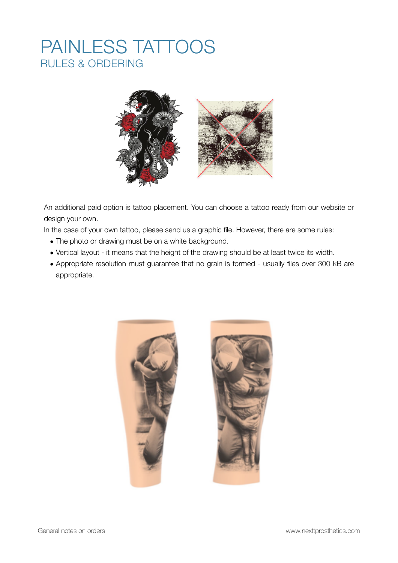## PAINLESS TATTOOS RULES & ORDERING



An additional paid option is tattoo placement. You can choose a tattoo ready from our website or design your own.

In the case of your own tattoo, please send us a graphic file. However, there are some rules:

- The photo or drawing must be on a white background.
- Vertical layout it means that the height of the drawing should be at least twice its width.
- Appropriate resolution must guarantee that no grain is formed usually files over 300 kB are appropriate.